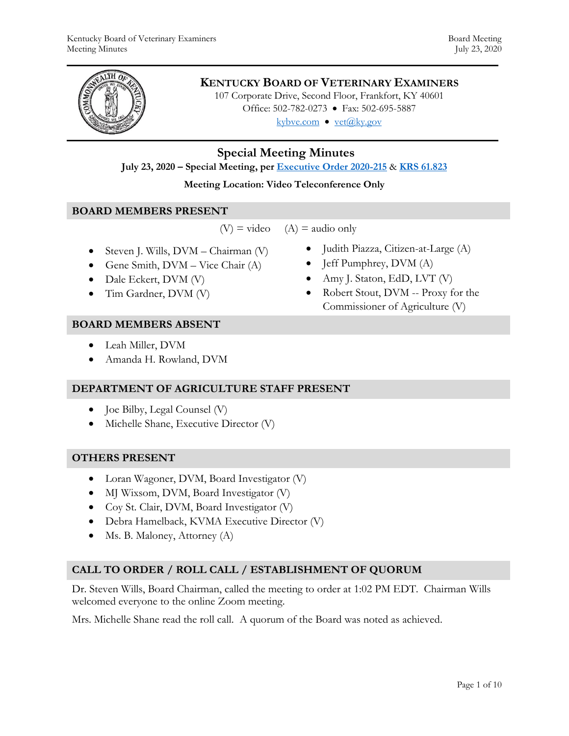

# **KENTUCKY BOARD OF VETERINARY EXAMINERS**

107 Corporate Drive, Second Floor, Frankfort, KY 40601 Office: 502-782-0273 • Fax: 502-695-5887 kybve.com  $\bullet$  vet@ky.gov

# **Special Meeting Minutes**

**July 23, 2020 – Special Meeting, per [Executive Order 2020-215](https://governor.ky.gov/attachments/20200306_Executive-Order_2020-215.pdf)** & **[KRS 61.823](https://apps.legislature.ky.gov/law/statutes/statute.aspx?id=23047)**

### **Meeting Location: Video Teleconference Only**

#### **BOARD MEMBERS PRESENT**

 $(V)$  = video  $(A)$  = audio only

- $\bullet$  Steven J. Wills, DVM Chairman (V)
- Gene Smith, DVM Vice Chair (A)
- Dale Eckert, DVM (V)
- Tim Gardner, DVM (V)
- **BOARD MEMBERS ABSENT**
	- Leah Miller, DVM
	- Amanda H. Rowland, DVM

# **DEPARTMENT OF AGRICULTURE STAFF PRESENT**

- Joe Bilby, Legal Counsel (V)
- Michelle Shane, Executive Director (V)

# **OTHERS PRESENT**

- Loran Wagoner, DVM, Board Investigator (V)
- MJ Wixsom, DVM, Board Investigator (V)
- Coy St. Clair, DVM, Board Investigator (V)
- Debra Hamelback, KVMA Executive Director (V)
- Ms. B. Maloney, Attorney (A)

# **CALL TO ORDER / ROLL CALL / ESTABLISHMENT OF QUORUM**

Dr. Steven Wills, Board Chairman, called the meeting to order at 1:02 PM EDT. Chairman Wills welcomed everyone to the online Zoom meeting.

Mrs. Michelle Shane read the roll call. A quorum of the Board was noted as achieved.

- Judith Piazza, Citizen-at-Large (A)
- Jeff Pumphrey, DVM (A)
- Amy J. Staton, EdD, LVT  $(V)$
- Robert Stout, DVM -- Proxy for the Commissioner of Agriculture (V)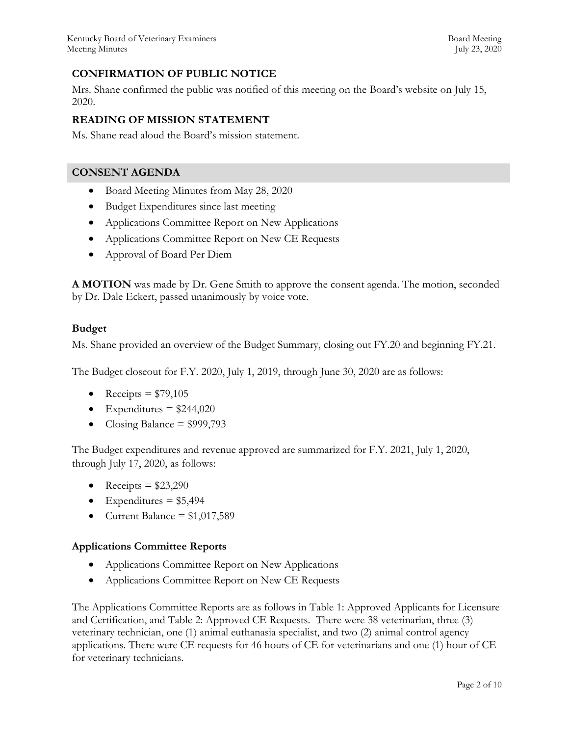# **CONFIRMATION OF PUBLIC NOTICE**

Mrs. Shane confirmed the public was notified of this meeting on the Board's website on July 15, 2020.

# **READING OF MISSION STATEMENT**

Ms. Shane read aloud the Board's mission statement.

### **CONSENT AGENDA**

- Board Meeting Minutes from May 28, 2020
- Budget Expenditures since last meeting
- Applications Committee Report on New Applications
- Applications Committee Report on New CE Requests
- Approval of Board Per Diem

**A MOTION** was made by Dr. Gene Smith to approve the consent agenda. The motion, seconded by Dr. Dale Eckert, passed unanimously by voice vote.

### **Budget**

Ms. Shane provided an overview of the Budget Summary, closing out FY.20 and beginning FY.21.

The Budget closeout for F.Y. 2020, July 1, 2019, through June 30, 2020 are as follows:

- Receipts  $= $79,105$
- Expenditures =  $$244,020$
- Closing Balance =  $$999,793$

The Budget expenditures and revenue approved are summarized for F.Y. 2021, July 1, 2020, through July 17, 2020, as follows:

- Receipts =  $$23,290$
- Expenditures =  $$5,494$
- Current Balance =  $$1,017,589$

# **Applications Committee Reports**

- Applications Committee Report on New Applications
- Applications Committee Report on New CE Requests

The Applications Committee Reports are as follows in Table 1: Approved Applicants for Licensure and Certification, and Table 2: Approved CE Requests. There were 38 veterinarian, three (3) veterinary technician, one (1) animal euthanasia specialist, and two (2) animal control agency applications. There were CE requests for 46 hours of CE for veterinarians and one (1) hour of CE for veterinary technicians.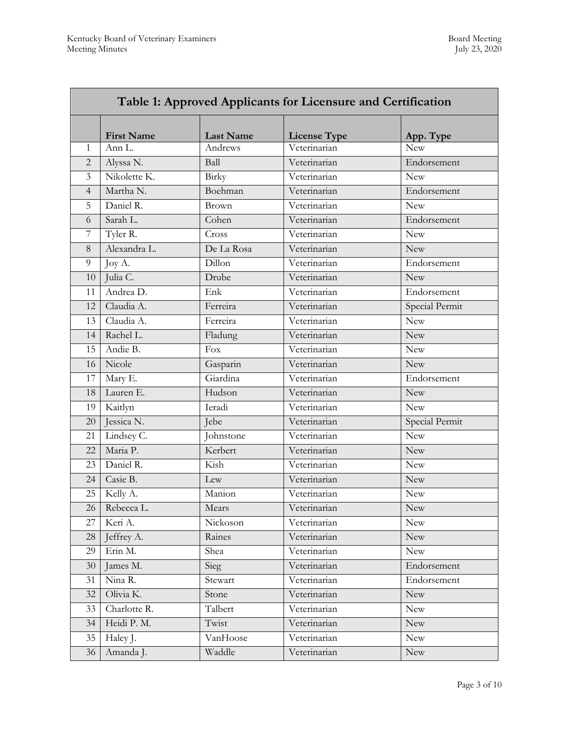| Table 1: Approved Applicants for Licensure and Certification |                   |                  |                                   |                |  |  |  |
|--------------------------------------------------------------|-------------------|------------------|-----------------------------------|----------------|--|--|--|
|                                                              | <b>First Name</b> | <b>Last Name</b> | <b>License Type</b>               | App. Type      |  |  |  |
| 1                                                            | Ann L.            | Andrews          | Veterinarian                      | <b>New</b>     |  |  |  |
| $\overline{2}$                                               | Alyssa N.         | Ball             | Veterinarian                      | Endorsement    |  |  |  |
| $\overline{3}$                                               | Nikolette K.      | Birky            | Veterinarian                      | <b>New</b>     |  |  |  |
| $\overline{4}$                                               | Martha N.         | Boehman          | Veterinarian                      | Endorsement    |  |  |  |
| 5                                                            | Daniel R.         | Brown            | Veterinarian                      | <b>New</b>     |  |  |  |
| 6                                                            | Sarah L.          | Cohen            | Veterinarian                      | Endorsement    |  |  |  |
| 7                                                            | Tyler R.          | Cross            | Veterinarian                      | <b>New</b>     |  |  |  |
| 8                                                            | Alexandra L.      | De La Rosa       | Veterinarian                      | <b>New</b>     |  |  |  |
| 9                                                            | Joy A.            | Dillon           | Veterinarian                      | Endorsement    |  |  |  |
| 10                                                           | Julia C.          | Drube            | Veterinarian                      | <b>New</b>     |  |  |  |
| 11                                                           | Andrea D.         | Enk              | Veterinarian                      | Endorsement    |  |  |  |
| 12                                                           | Claudia A.        | Ferreira         | Veterinarian                      | Special Permit |  |  |  |
| 13                                                           | Claudia A.        | Ferreira         | Veterinarian                      | <b>New</b>     |  |  |  |
| 14                                                           | Rachel L.         | Fladung          | Veterinarian                      | <b>New</b>     |  |  |  |
| 15                                                           | Andie B.          | Fox              | Veterinarian                      | <b>New</b>     |  |  |  |
| 16                                                           | Nicole            | Gasparin         | $\overline{\text{V}}$ eterinarian | <b>New</b>     |  |  |  |
| 17                                                           | Mary E.           | Giardina         | Veterinarian                      | Endorsement    |  |  |  |
| 18                                                           | Lauren E.         | Hudson           | Veterinarian                      | <b>New</b>     |  |  |  |
| 19                                                           | Kaitlyn           | Ieradi           | Veterinarian                      | <b>New</b>     |  |  |  |
| 20                                                           | Jessica N.        | Jebe             | Veterinarian                      | Special Permit |  |  |  |
| 21                                                           | Lindsey C.        | Johnstone        | Veterinarian                      | <b>New</b>     |  |  |  |
| 22                                                           | Maria P.          | Kerbert          | Veterinarian                      | <b>New</b>     |  |  |  |
| 23                                                           | Daniel R.         | Kish             | Veterinarian                      | <b>New</b>     |  |  |  |
| 24                                                           | Casie B.          | Lew              | Veterinarian                      | <b>New</b>     |  |  |  |
| 25                                                           | Kelly A.          | Manion           | Veterinarian                      | New            |  |  |  |
|                                                              | 26 Rebecca L.     | Mears            | Veterinarian                      | New            |  |  |  |
| 27                                                           | Keri A.           | Nickoson         | Veterinarian                      | <b>New</b>     |  |  |  |
| 28                                                           | Jeffrey A.        | Raines           | Veterinarian                      | New            |  |  |  |
| 29                                                           | Erin M.           | Shea             | Veterinarian                      | New            |  |  |  |
| 30                                                           | James M.          | Sieg             | Veterinarian                      | Endorsement    |  |  |  |
| 31                                                           | Nina R.           | Stewart          | Veterinarian                      | Endorsement    |  |  |  |
| 32                                                           | Olivia K.         | Stone            | Veterinarian                      | New            |  |  |  |
| 33                                                           | Charlotte R.      | Talbert          | Veterinarian                      | New            |  |  |  |
| 34                                                           | Heidi P. M.       | Twist            | Veterinarian                      | New            |  |  |  |
| 35                                                           | Haley J.          | VanHoose         | Veterinarian                      | New            |  |  |  |
| 36                                                           | Amanda J.         | Waddle           | Veterinarian                      | New            |  |  |  |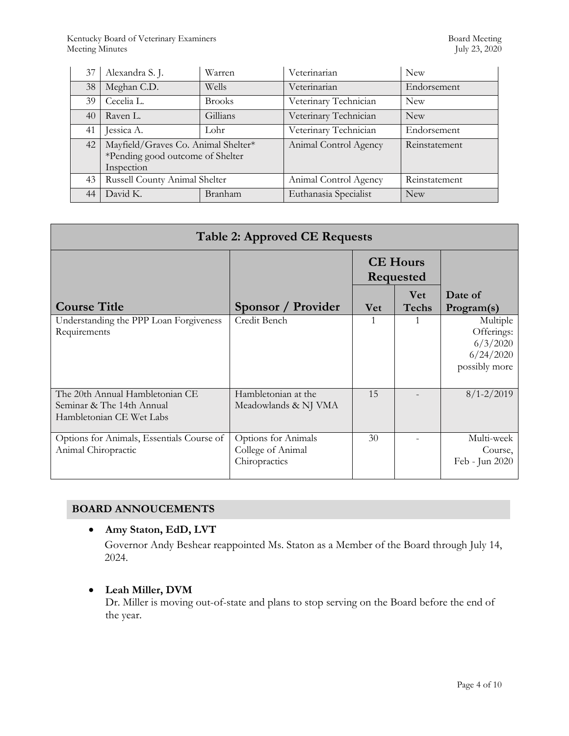| 37 | Alexandra S. J.                                                                       | Warren        | Veterinarian          | <b>New</b>    |  |
|----|---------------------------------------------------------------------------------------|---------------|-----------------------|---------------|--|
| 38 | Meghan C.D.                                                                           | Wells         | Veterinarian          | Endorsement   |  |
| 39 | Cecelia L.                                                                            | <b>Brooks</b> | Veterinary Technician | <b>New</b>    |  |
| 40 | Raven L.                                                                              | Gillians      | Veterinary Technician | <b>New</b>    |  |
| 41 | Jessica A.                                                                            | Lohr          | Veterinary Technician | Endorsement   |  |
| 42 | Mayfield/Graves Co. Animal Shelter*<br>*Pending good outcome of Shelter<br>Inspection |               | Animal Control Agency | Reinstatement |  |
| 43 | Russell County Animal Shelter                                                         |               | Animal Control Agency | Reinstatement |  |
| 44 | David K.                                                                              | Branham       | Euthanasia Specialist | <b>New</b>    |  |

| <b>Table 2: Approved CE Requests</b>                                                     |                                                           |                              |                     |                                                                  |  |  |  |  |
|------------------------------------------------------------------------------------------|-----------------------------------------------------------|------------------------------|---------------------|------------------------------------------------------------------|--|--|--|--|
|                                                                                          |                                                           | <b>CE Hours</b><br>Requested |                     |                                                                  |  |  |  |  |
| <b>Course Title</b>                                                                      | Sponsor / Provider                                        | <b>Vet</b>                   | <b>Vet</b><br>Techs | Date of<br>Program(s)                                            |  |  |  |  |
| Understanding the PPP Loan Forgiveness<br>Requirements                                   | Credit Bench                                              |                              |                     | Multiple<br>Offerings:<br>6/3/2020<br>6/24/2020<br>possibly more |  |  |  |  |
| The 20th Annual Hambletonian CE<br>Seminar & The 14th Annual<br>Hambletonian CE Wet Labs | Hambletonian at the<br>Meadowlands & NJ VMA               | 15                           |                     | $8/1 - 2/2019$                                                   |  |  |  |  |
| Options for Animals, Essentials Course of<br>Animal Chiropractic                         | Options for Animals<br>College of Animal<br>Chiropractics | 30                           |                     | Multi-week<br>Course,<br>Feb - Jun 2020                          |  |  |  |  |

# **BOARD ANNOUCEMENTS**

# **Amy Staton, EdD, LVT**

Governor Andy Beshear reappointed Ms. Staton as a Member of the Board through July 14, 2024.

# **Leah Miller, DVM**

Dr. Miller is moving out-of-state and plans to stop serving on the Board before the end of the year.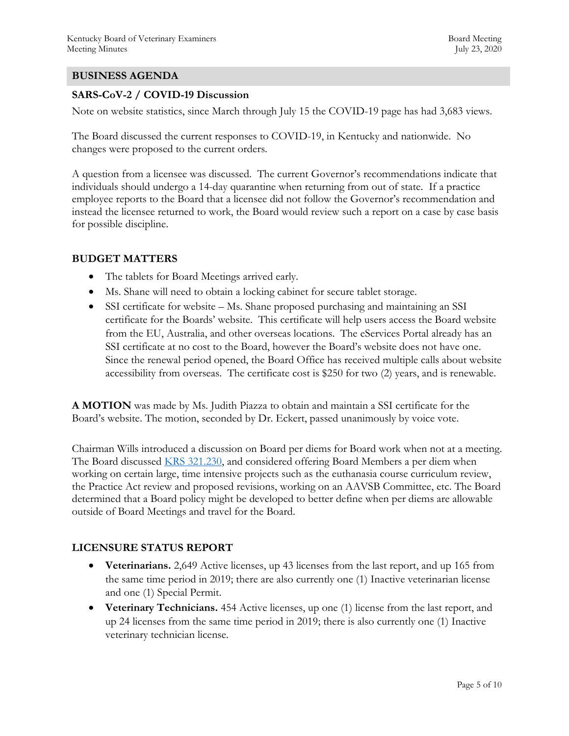### **BUSINESS AGENDA**

#### **SARS-CoV-2 / COVID-19 Discussion**

Note on website statistics, since March through July 15 the COVID-19 page has had 3,683 views.

The Board discussed the current responses to COVID-19, in Kentucky and nationwide. No changes were proposed to the current orders.

A question from a licensee was discussed. The current Governor's recommendations indicate that individuals should undergo a 14-day quarantine when returning from out of state. If a practice employee reports to the Board that a licensee did not follow the Governor's recommendation and instead the licensee returned to work, the Board would review such a report on a case by case basis for possible discipline.

#### **BUDGET MATTERS**

- The tablets for Board Meetings arrived early.
- Ms. Shane will need to obtain a locking cabinet for secure tablet storage.
- SSI certificate for website Ms. Shane proposed purchasing and maintaining an SSI certificate for the Boards' website. This certificate will help users access the Board website from the EU, Australia, and other overseas locations. The eServices Portal already has an SSI certificate at no cost to the Board, however the Board's website does not have one. Since the renewal period opened, the Board Office has received multiple calls about website accessibility from overseas. The certificate cost is \$250 for two (2) years, and is renewable.

**A MOTION** was made by Ms. Judith Piazza to obtain and maintain a SSI certificate for the Board's website. The motion, seconded by Dr. Eckert, passed unanimously by voice vote.

Chairman Wills introduced a discussion on Board per diems for Board work when not at a meeting. The Board discussed [KRS 321.230,](https://apps.legislature.ky.gov/law/statutes/statute.aspx?id=45329) and considered offering Board Members a per diem when working on certain large, time intensive projects such as the euthanasia course curriculum review, the Practice Act review and proposed revisions, working on an AAVSB Committee, etc. The Board determined that a Board policy might be developed to better define when per diems are allowable outside of Board Meetings and travel for the Board.

#### **LICENSURE STATUS REPORT**

- **Veterinarians.** 2,649 Active licenses, up 43 licenses from the last report, and up 165 from the same time period in 2019; there are also currently one (1) Inactive veterinarian license and one (1) Special Permit.
- **Veterinary Technicians.** 454 Active licenses, up one (1) license from the last report, and up 24 licenses from the same time period in 2019; there is also currently one (1) Inactive veterinary technician license.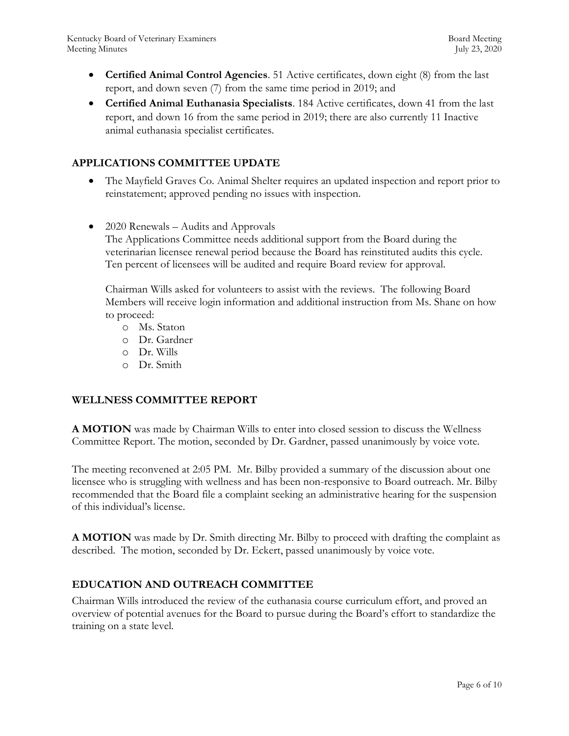- **Certified Animal Control Agencies**. 51 Active certificates, down eight (8) from the last report, and down seven (7) from the same time period in 2019; and
- **Certified Animal Euthanasia Specialists**. 184 Active certificates, down 41 from the last report, and down 16 from the same period in 2019; there are also currently 11 Inactive animal euthanasia specialist certificates.

# **APPLICATIONS COMMITTEE UPDATE**

- The Mayfield Graves Co. Animal Shelter requires an updated inspection and report prior to reinstatement; approved pending no issues with inspection.
- 2020 Renewals Audits and Approvals The Applications Committee needs additional support from the Board during the veterinarian licensee renewal period because the Board has reinstituted audits this cycle. Ten percent of licensees will be audited and require Board review for approval.

Chairman Wills asked for volunteers to assist with the reviews. The following Board Members will receive login information and additional instruction from Ms. Shane on how to proceed:

- o Ms. Staton
- o Dr. Gardner
- o Dr. Wills
- o Dr. Smith

# **WELLNESS COMMITTEE REPORT**

**A MOTION** was made by Chairman Wills to enter into closed session to discuss the Wellness Committee Report. The motion, seconded by Dr. Gardner, passed unanimously by voice vote.

The meeting reconvened at 2:05 PM. Mr. Bilby provided a summary of the discussion about one licensee who is struggling with wellness and has been non-responsive to Board outreach. Mr. Bilby recommended that the Board file a complaint seeking an administrative hearing for the suspension of this individual's license.

**A MOTION** was made by Dr. Smith directing Mr. Bilby to proceed with drafting the complaint as described. The motion, seconded by Dr. Eckert, passed unanimously by voice vote.

# **EDUCATION AND OUTREACH COMMITTEE**

Chairman Wills introduced the review of the euthanasia course curriculum effort, and proved an overview of potential avenues for the Board to pursue during the Board's effort to standardize the training on a state level.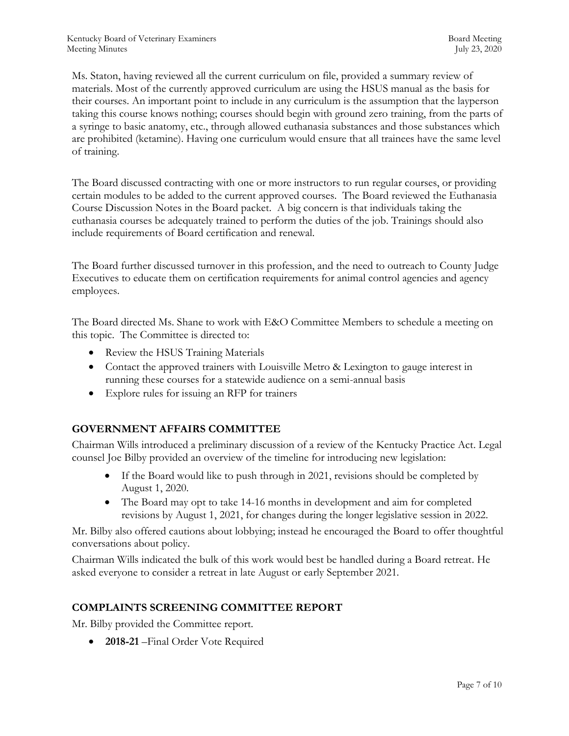Ms. Staton, having reviewed all the current curriculum on file, provided a summary review of materials. Most of the currently approved curriculum are using the HSUS manual as the basis for their courses. An important point to include in any curriculum is the assumption that the layperson taking this course knows nothing; courses should begin with ground zero training, from the parts of a syringe to basic anatomy, etc., through allowed euthanasia substances and those substances which are prohibited (ketamine). Having one curriculum would ensure that all trainees have the same level of training.

The Board discussed contracting with one or more instructors to run regular courses, or providing certain modules to be added to the current approved courses. The Board reviewed the Euthanasia Course Discussion Notes in the Board packet. A big concern is that individuals taking the euthanasia courses be adequately trained to perform the duties of the job. Trainings should also include requirements of Board certification and renewal.

The Board further discussed turnover in this profession, and the need to outreach to County Judge Executives to educate them on certification requirements for animal control agencies and agency employees.

The Board directed Ms. Shane to work with E&O Committee Members to schedule a meeting on this topic. The Committee is directed to:

- Review the HSUS Training Materials
- Contact the approved trainers with Louisville Metro & Lexington to gauge interest in running these courses for a statewide audience on a semi-annual basis
- Explore rules for issuing an RFP for trainers

# **GOVERNMENT AFFAIRS COMMITTEE**

Chairman Wills introduced a preliminary discussion of a review of the Kentucky Practice Act. Legal counsel Joe Bilby provided an overview of the timeline for introducing new legislation:

- If the Board would like to push through in 2021, revisions should be completed by August 1, 2020.
- The Board may opt to take 14-16 months in development and aim for completed revisions by August 1, 2021, for changes during the longer legislative session in 2022.

Mr. Bilby also offered cautions about lobbying; instead he encouraged the Board to offer thoughtful conversations about policy.

Chairman Wills indicated the bulk of this work would best be handled during a Board retreat. He asked everyone to consider a retreat in late August or early September 2021.

# **COMPLAINTS SCREENING COMMITTEE REPORT**

Mr. Bilby provided the Committee report.

• **2018-21** – Final Order Vote Required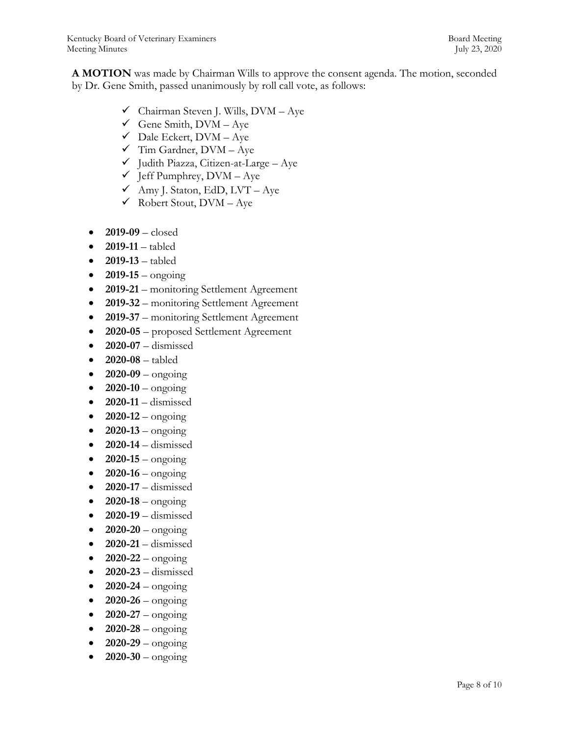**A MOTION** was made by Chairman Wills to approve the consent agenda. The motion, seconded by Dr. Gene Smith, passed unanimously by roll call vote, as follows:

- $\checkmark$  Chairman Steven J. Wills, DVM Aye
- Gene Smith,  $DVM Aye$
- $\checkmark$  Dale Eckert, DVM Aye
- $\checkmark$  Tim Gardner, DVM Aye
- $\checkmark$  Judith Piazza, Citizen-at-Large Aye
- $\checkmark$  Jeff Pumphrey, DVM Aye
- $\checkmark$  Amy J. Staton, EdD, LVT Aye
- $\checkmark$  Robert Stout, DVM Aye
- **2019-09**  closed
- **2019-11**  tabled
- **2019-13**  tabled
- $2019-15 -$  ongoing
- **2019-21**  monitoring Settlement Agreement
- **2019-32**  monitoring Settlement Agreement
- **2019-37** monitoring Settlement Agreement
- **2020-05** proposed Settlement Agreement
- **2020-07** dismissed
- **2020-08** tabled
- **2020-09** ongoing
- $\bullet$  **2020-10** ongoing
- **2020-11** dismissed
- $\bullet$  **2020-12** ongoing
- $2020 13$  ongoing
- **2020-14** dismissed
- $\bullet$  **2020-15** ongoing
- **2020-16** ongoing
- **2020-17** dismissed
- $\bullet$  **2020-18** ongoing
- **2020-19** dismissed
- $\bullet$  **2020-20** ongoing
- **2020-21** dismissed
- $\bullet$  **2020-22** ongoing
- **2020-23** dismissed
- $\bullet$  **2020-24** ongoing
- $\bullet$  **2020-26** ongoing
- $\bullet$  **2020-27** ongoing
- $\bullet$  **2020-28** ongoing
- $\bullet$  **2020-29** ongoing
- $\bullet$  **2020-30** ongoing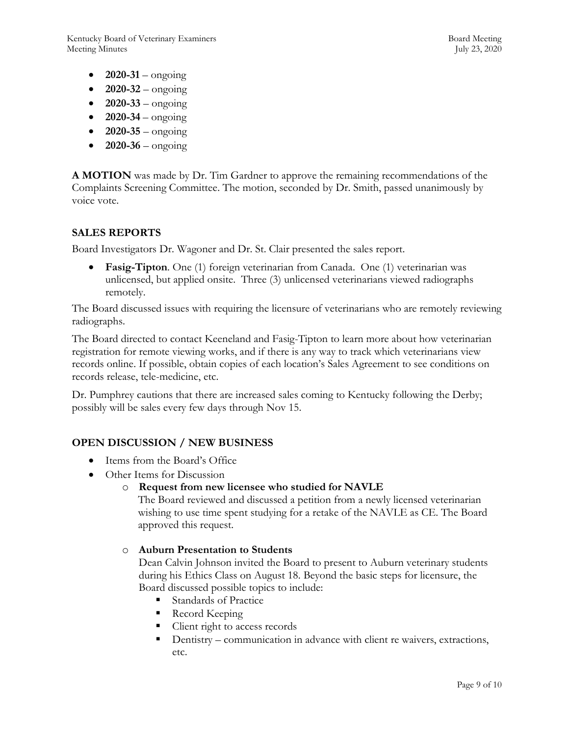Kentucky Board of Veterinary Examiners **Board Meeting** Board Meeting Meeting Minutes July 23, 2020

- $2020-31 \text{ongoing}$
- **2020-32** ongoing
- $2020 33 \text{ongoing}$
- $\bullet$  **2020-34** ongoing
- $\bullet$  **2020-35** ongoing
- **2020-36** ongoing

**A MOTION** was made by Dr. Tim Gardner to approve the remaining recommendations of the Complaints Screening Committee. The motion, seconded by Dr. Smith, passed unanimously by voice vote.

# **SALES REPORTS**

Board Investigators Dr. Wagoner and Dr. St. Clair presented the sales report.

 **Fasig-Tipton**. One (1) foreign veterinarian from Canada. One (1) veterinarian was unlicensed, but applied onsite. Three (3) unlicensed veterinarians viewed radiographs remotely.

The Board discussed issues with requiring the licensure of veterinarians who are remotely reviewing radiographs.

The Board directed to contact Keeneland and Fasig-Tipton to learn more about how veterinarian registration for remote viewing works, and if there is any way to track which veterinarians view records online. If possible, obtain copies of each location's Sales Agreement to see conditions on records release, tele-medicine, etc.

Dr. Pumphrey cautions that there are increased sales coming to Kentucky following the Derby; possibly will be sales every few days through Nov 15.

# **OPEN DISCUSSION / NEW BUSINESS**

- Items from the Board's Office
- Other Items for Discussion
	- o **Request from new licensee who studied for NAVLE**

The Board reviewed and discussed a petition from a newly licensed veterinarian wishing to use time spent studying for a retake of the NAVLE as CE. The Board approved this request.

#### o **Auburn Presentation to Students**

Dean Calvin Johnson invited the Board to present to Auburn veterinary students during his Ethics Class on August 18. Beyond the basic steps for licensure, the Board discussed possible topics to include:

- Standards of Practice
- Record Keeping
- Client right to access records
- Dentistry communication in advance with client re waivers, extractions, etc.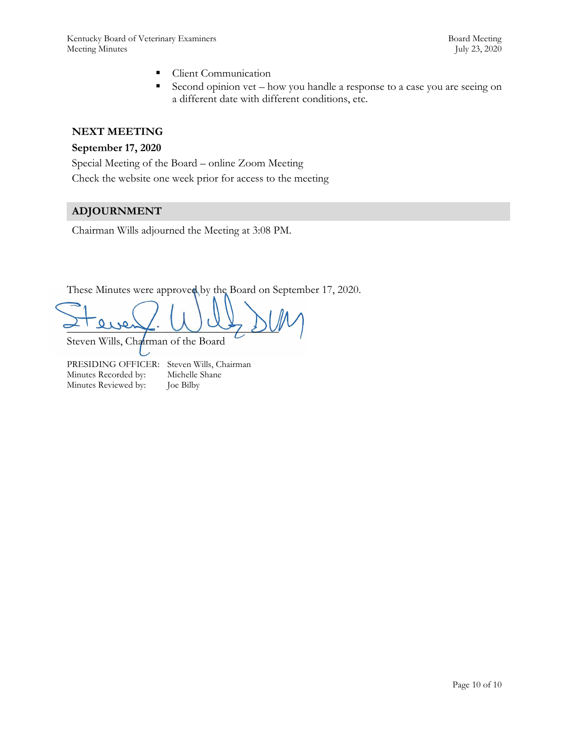- **Client Communication**
- Second opinion vet how you handle a response to a case you are seeing on a different date with different conditions, etc.

#### **NEXT MEETING**

#### **September 17, 2020**

Special Meeting of the Board – online Zoom Meeting Check the website one week prior for access to the meeting

# **ADJOURNMENT**

Chairman Wills adjourned the Meeting at 3:08 PM.

These Minutes were approved by the Board on September 17, 2020.

 $\geq$  livent.  $\bigcup \cup \bigcup \bigcup$ 

Steven Wills, Chairman of the Board

PRESIDING OFFICER: Steven Wills, Chairman Minutes Recorded by: Michelle Shane Minutes Reviewed by: Joe Bilby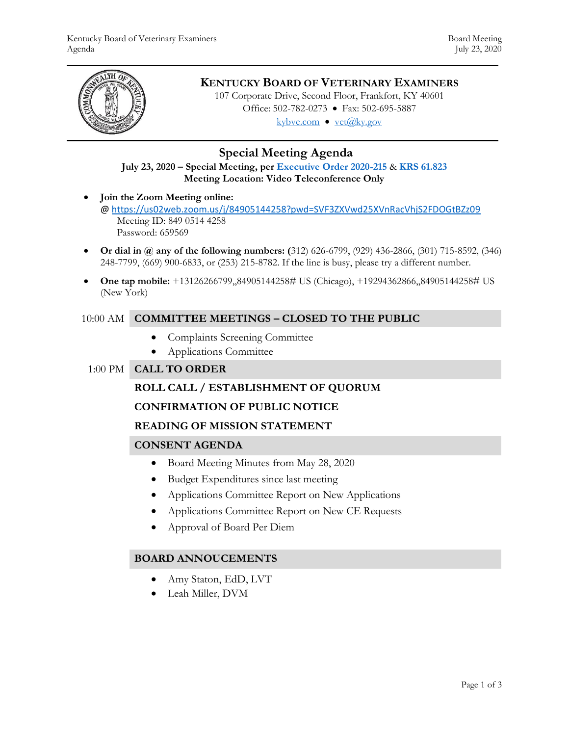

# **KENTUCKY BOARD OF VETERINARY EXAMINERS**

107 Corporate Drive, Second Floor, Frankfort, KY 40601 Office: 502-782-0273 • Fax: 502-695-5887 kybve.com  $\bullet$  yet@ky.gov

# **Special Meeting Agenda**

**July 23, 2020 – Special Meeting, per [Executive Order 2020-215](https://governor.ky.gov/attachments/20200306_Executive-Order_2020-215.pdf)** & **[KRS 61.823](https://apps.legislature.ky.gov/law/statutes/statute.aspx?id=23047) Meeting Location: Video Teleconference Only**

- **Join the Zoom Meeting online:**  @<https://us02web.zoom.us/j/84905144258?pwd=SVF3ZXVwd25XVnRacVhjS2FDOGtBZz09> Meeting ID: 849 0514 4258 Password: 659569
- **Or dial in @ any of the following numbers: (**312) 626-6799, (929) 436-2866, (301) 715-8592, (346) 248-7799, (669) 900-6833, or (253) 215-8782. If the line is busy, please try a different number.
- **One tap mobile:** +13126266799,,84905144258# US (Chicago), +19294362866,,84905144258# US (New York)

# 10:00 AM **COMMITTEE MEETINGS – CLOSED TO THE PUBLIC**

- Complaints Screening Committee
- Applications Committee

# 1:00 PM **CALL TO ORDER**

# **ROLL CALL / ESTABLISHMENT OF QUORUM**

#### **CONFIRMATION OF PUBLIC NOTICE**

#### **READING OF MISSION STATEMENT**

#### **CONSENT AGENDA**

- Board Meeting Minutes from May 28, 2020
- Budget Expenditures since last meeting
- Applications Committee Report on New Applications
- Applications Committee Report on New CE Requests
- Approval of Board Per Diem

# **BOARD ANNOUCEMENTS**

- Amy Staton, EdD, LVT
- Leah Miller, DVM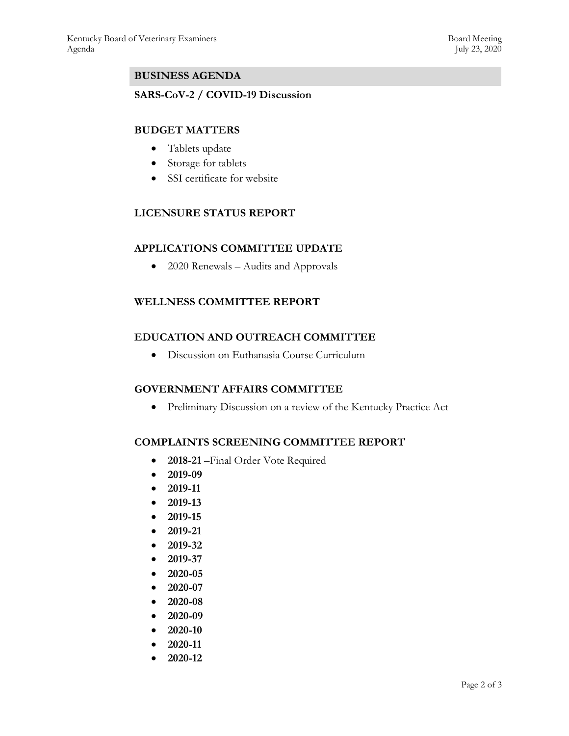### **BUSINESS AGENDA**

#### **SARS-CoV-2 / COVID-19 Discussion**

# **BUDGET MATTERS**

- Tablets update
- Storage for tablets
- SSI certificate for website

# **LICENSURE STATUS REPORT**

#### **APPLICATIONS COMMITTEE UPDATE**

2020 Renewals – Audits and Approvals

# **WELLNESS COMMITTEE REPORT**

# **EDUCATION AND OUTREACH COMMITTEE**

Discussion on Euthanasia Course Curriculum

### **GOVERNMENT AFFAIRS COMMITTEE**

Preliminary Discussion on a review of the Kentucky Practice Act

#### **COMPLAINTS SCREENING COMMITTEE REPORT**

- 2018-21 Final Order Vote Required
- **2019-09**
- **2019-11**
- **2019-13**
- **2019-15**
- **2019-21**
- **2019-32**
- **2019-37**
- **2020-05**
- **2020-07**
- **2020-08**
- **2020-09**
- **2020-10**
- **2020-11**
- **2020-12**